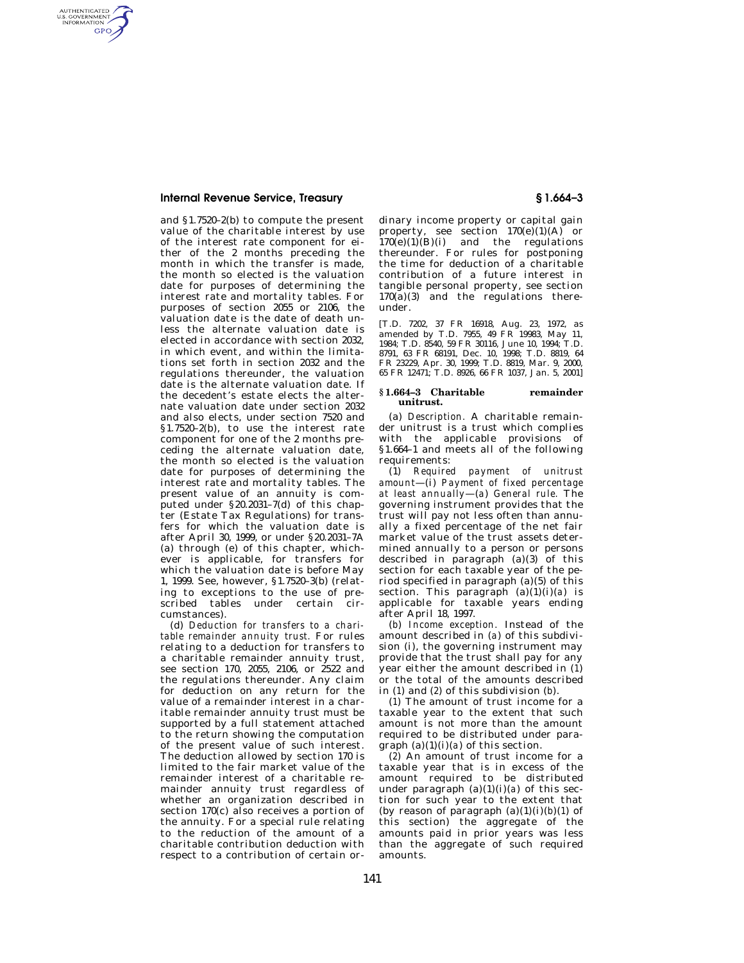AUTHENTICATED<br>U.S. GOVERNMENT<br>INFORMATION **GPO** 

> and §1.7520–2(b) to compute the present value of the charitable interest by use of the interest rate component for either of the 2 months preceding the month in which the transfer is made, the month so elected is the valuation date for purposes of determining the interest rate and mortality tables. For purposes of section 2055 or 2106, the valuation date is the date of death unless the alternate valuation date is elected in accordance with section 2032, in which event, and within the limitations set forth in section 2032 and the regulations thereunder, the valuation date is the alternate valuation date. If the decedent's estate elects the alternate valuation date under section 2032 and also elects, under section 7520 and §1.7520–2(b), to use the interest rate component for one of the 2 months preceding the alternate valuation date, the month so elected is the valuation date for purposes of determining the interest rate and mortality tables. The present value of an annuity is computed under  $$20.2031-7(d)$  of this chapter (Estate Tax Regulations) for transfers for which the valuation date is after April 30, 1999, or under §20.2031–7A (a) through (e) of this chapter, whichever is applicable, for transfers for which the valuation date is before May 1, 1999. See, however, §1.7520–3(b) (relating to exceptions to the use of prescribed tables under certain circumstances).

> (d) *Deduction for transfers to a charitable remainder annuity trust.* For rules relating to a deduction for transfers to a charitable remainder annuity trust, see section 170, 2055, 2106, or 2522 and the regulations thereunder. Any claim for deduction on any return for the value of a remainder interest in a charitable remainder annuity trust must be supported by a full statement attached to the return showing the computation of the present value of such interest. The deduction allowed by section 170 is limited to the fair market value of the remainder interest of a charitable remainder annuity trust regardless of whether an organization described in section 170(c) also receives a portion of the annuity. For a special rule relating to the reduction of the amount of a charitable contribution deduction with respect to a contribution of certain or-

dinary income property or capital gain property, see section  $170(e)(1)(A)$  or  $170(e)(1)(B)(i)$  and the regulations thereunder. For rules for postponing the time for deduction of a charitable contribution of a future interest in tangible personal property, see section 170(a)(3) and the regulations thereunder.

[T.D. 7202, 37 FR 16918, Aug. 23, 1972, as amended by T.D. 7955, 49 FR 19983, May 11, 1984; T.D. 8540, 59 FR 30116, June 10, 1994; T.D. 8791, 63 FR 68191, Dec. 10, 1998; T.D. 8819, 64 FR 23229, Apr. 30, 1999; T.D. 8819, Mar. 9, 2000, 65 FR 12471; T.D. 8926, 66 FR 1037, Jan. 5, 2001]

## **§ 1.664–3 Charitable remainder unitrust.**

(a) *Description.* A charitable remainder unitrust is a trust which complies with the applicable provisions of §1.664–1 and meets all of the following requirements:

(1) *Required payment of unitrust amount*—(i) *Payment of fixed percentage at least annually*—(*a*) *General rule.* The governing instrument provides that the trust will pay not less often than annually a fixed percentage of the net fair market value of the trust assets determined annually to a person or persons described in paragraph (a)(3) of this section for each taxable year of the period specified in paragraph (a)(5) of this section. This paragraph (a)(1)(i)(*a*) is applicable for taxable years ending after April 18, 1997.

(*b*) *Income exception.* Instead of the amount described in (*a*) of this subdivision (i), the governing instrument may provide that the trust shall pay for any year either the amount described in (*1*) or the total of the amounts described in (*1*) and (*2*) of this subdivision (*b*).

(*1*) The amount of trust income for a taxable year to the extent that such amount is not more than the amount required to be distributed under paragraph (a)(1)(i)(*a*) of this section.

(*2*) An amount of trust income for a taxable year that is in excess of the amount required to be distributed under paragraph  $(a)(1)(i)(a)$  of this section for such year to the extent that (by reason of paragraph  $(a)(1)(i)(b)(1)$  of this section) the aggregate of the amounts paid in prior years was less than the aggregate of such required amounts.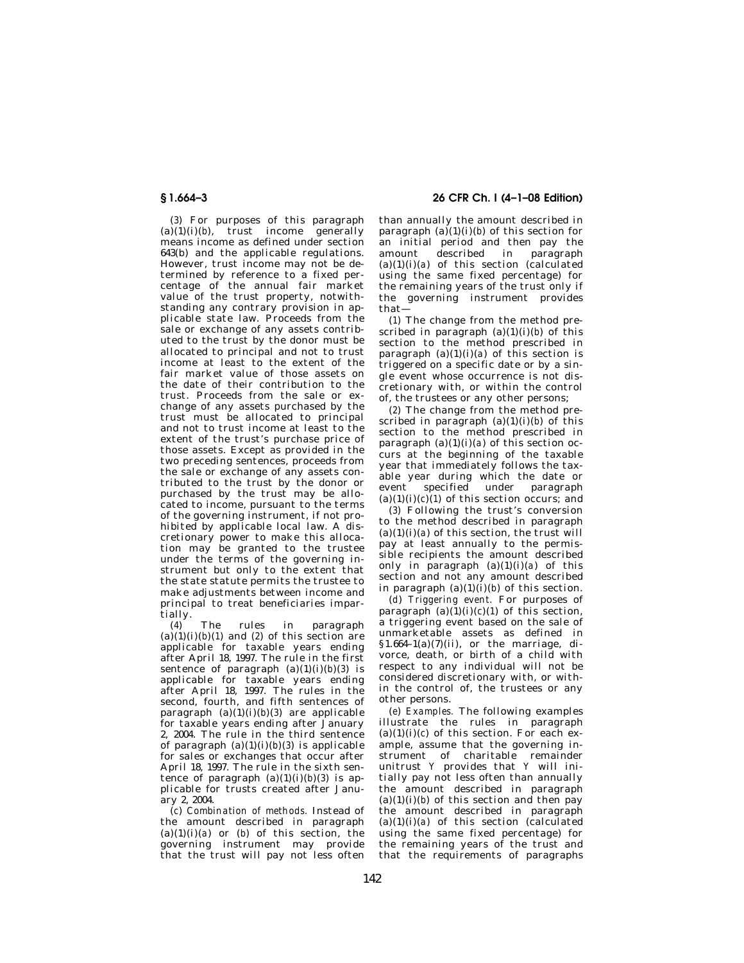(*3*) For purposes of this paragraph  $(a)(1)(i)(b)$ , trust income generally means income as defined under section 643(b) and the applicable regulations. However, trust income may not be determined by reference to a fixed percentage of the annual fair market value of the trust property, notwithstanding any contrary provision in applicable state law. Proceeds from the sale or exchange of any assets contributed to the trust by the donor must be allocated to principal and not to trust income at least to the extent of the fair market value of those assets on the date of their contribution to the trust. Proceeds from the sale or exchange of any assets purchased by the trust must be allocated to principal and not to trust income at least to the extent of the trust's purchase price of those assets. Except as provided in the two preceding sentences, proceeds from the sale or exchange of any assets contributed to the trust by the donor or purchased by the trust may be allocated to income, pursuant to the terms of the governing instrument, if not prohibited by applicable local law. A discretionary power to make this allocation may be granted to the trustee under the terms of the governing instrument but only to the extent that the state statute permits the trustee to make adjustments between income and principal to treat beneficiaries impartially.

(*4*) The rules in paragraph  $(a)(1)(i)(b)(1)$  and  $(2)$  of this section are applicable for taxable years ending after April 18, 1997. The rule in the first sentence of paragraph (a)(1)(i)(*b*)(*3*) is applicable for taxable years ending after April 18, 1997. The rules in the second, fourth, and fifth sentences of paragraph  $(a)(1)(i)(b)(3)$  are applicable for taxable years ending after January 2, 2004. The rule in the third sentence of paragraph  $(a)(1)(i)(b)(3)$  is applicable for sales or exchanges that occur after April 18, 1997. The rule in the sixth sentence of paragraph  $(a)(1)(i)(b)(3)$  is applicable for trusts created after January 2, 2004.

(*c*) *Combination of methods.* Instead of the amount described in paragraph  $(a)(1)(i)(a)$  or  $(b)$  of this section, the governing instrument may provide that the trust will pay not less often

## **§ 1.664–3 26 CFR Ch. I (4–1–08 Edition)**

than annually the amount described in paragraph  $(a)(1)(i)(b)$  of this section for an initial period and then pay the amount described in paragraph (a)(1)(i)(*a*) of this section (calculated using the same fixed percentage) for the remaining years of the trust only if the governing instrument provides that—

(*1*) The change from the method prescribed in paragraph  $(a)(1)(i)(b)$  of this section to the method prescribed in paragraph  $(a)(1)(i)(a)$  of this section is triggered on a specific date or by a single event whose occurrence is not discretionary with, or within the control of, the trustees or any other persons;

(*2*) The change from the method prescribed in paragraph (a)(1)(i)(*b*) of this section to the method prescribed in paragraph  $(a)(1)(i)(a)$  of this section occurs at the beginning of the taxable year that immediately follows the taxable year during which the date or event specified under paragraph  $(a)(1)(i)(c)(1)$  of this section occurs; and

(*3*) Following the trust's conversion to the method described in paragraph  $(a)(1)(i)(a)$  of this section, the trust will pay at least annually to the permissible recipients the amount described only in paragraph (a)(1)(i)(*a*) of this section and not any amount described in paragraph  $(a)(1)(i)(b)$  of this section.

(*d*) *Triggering event.* For purposes of paragraph  $(a)(1)(i)(c)(1)$  of this section, a triggering event based on the sale of unmarketable assets as defined in  $§1.664-1(a)(7)(ii)$ , or the marriage, divorce, death, or birth of a child with respect to any individual will not be considered discretionary with, or within the control of, the trustees or any other persons.

(*e*) *Examples.* The following examples illustrate the rules in paragraph  $(a)(1)(i)(c)$  of this section. For each example, assume that the governing instrument of charitable remainder unitrust *Y* provides that *Y* will initially pay not less often than annually the amount described in paragraph  $(a)(1)(i)(b)$  of this section and then pay the amount described in paragraph  $(a)(1)(i)(a)$  of this section (calculated using the same fixed percentage) for the remaining years of the trust and that the requirements of paragraphs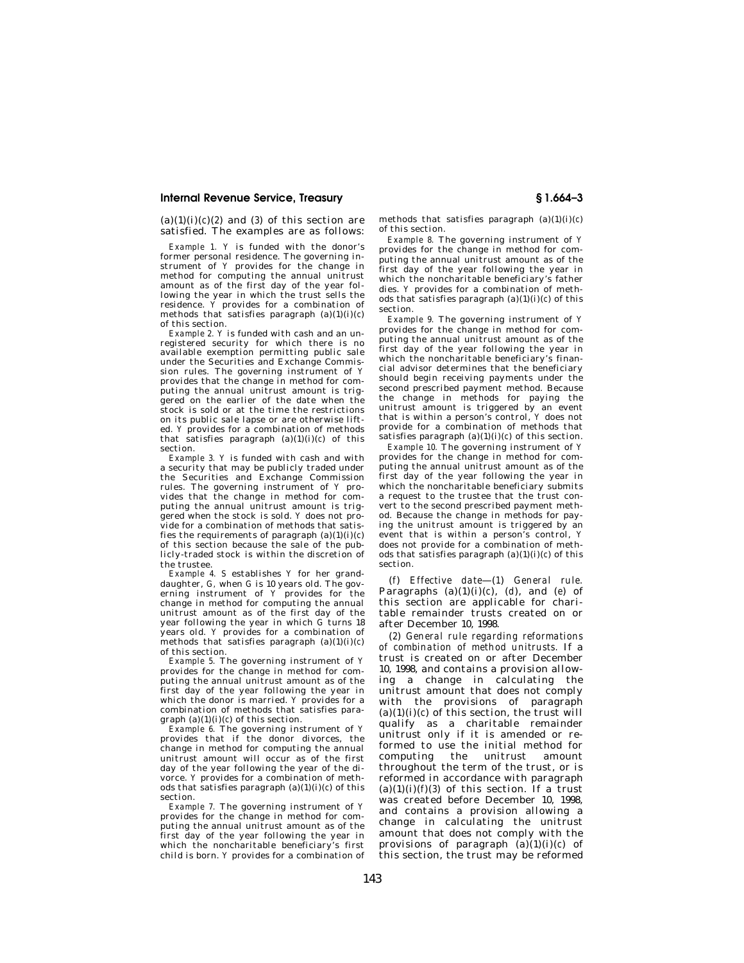$(a)(1)(i)(c)(2)$  and  $(3)$  of this section are satisfied. The examples are as follows:

*Example 1. Y* is funded with the donor's former personal residence. The governing instrument of *Y* provides for the change in method for computing the annual unitrust amount as of the first day of the year following the year in which the trust sells the residence. *Y* provides for a combination of methods that satisfies paragraph (a)(1)(i)(*c*) of this section.

*Example 2. Y* is funded with cash and an unregistered security for which there is no available exemption permitting public sale under the Securities and Exchange Commission rules. The governing instrument of *Y*  provides that the change in method for computing the annual unitrust amount is triggered on the earlier of the date when the stock is sold or at the time the restrictions on its public sale lapse or are otherwise lifted. *Y* provides for a combination of methods that satisfies paragraph  $(a)(1)(i)(c)$  of this section.

*Example 3. Y* is funded with cash and with a security that may be publicly traded under the Securities and Exchange Commission rules. The governing instrument of *Y* provides that the change in method for computing the annual unitrust amount is triggered when the stock is sold. *Y* does not provide for a combination of methods that satisfies the requirements of paragraph  $(a)(1)(i)(c)$ of this section because the sale of the publicly-traded stock is within the discretion of the trustee.

*Example 4. S* establishes *Y* for her granddaughter, *G,* when *G* is 10 years old. The governing instrument of *Y* provides for the change in method for computing the annual unitrust amount as of the first day of the year following the year in which *G* turns 18 years old. *Y* provides for a combination of methods that satisfies paragraph  $(a)(1)(i)(c)$ of this section.

*Example 5.* The governing instrument of *Y* provides for the change in method for computing the annual unitrust amount as of the first day of the year following the year in which the donor is married. *Y* provides for a combination of methods that satisfies paragraph (a)(1)(i)(*c*) of this section.

*Example 6.* The governing instrument of *Y*  provides that if the donor divorces, the change in method for computing the annual unitrust amount will occur as of the first day of the year following the year of the divorce. *Y* provides for a combination of methods that satisfies paragraph (a)(1)(i)(*c*) of this section.

*Example 7.* The governing instrument of *Y*  provides for the change in method for computing the annual unitrust amount as of the first day of the year following the year in which the noncharitable beneficiary's first child is born. *Y* provides for a combination of methods that satisfies paragraph (a)(1)(i)(*c*) of this section.

*Example 8.* The governing instrument of *Y*  provides for the change in method for computing the annual unitrust amount as of the first day of the year following the year in which the noncharitable beneficiary's father dies. *Y* provides for a combination of methods that satisfies paragraph (a)(1)(i)(*c*) of this section.

*Example 9.* The governing instrument of *Y*  provides for the change in method for computing the annual unitrust amount as of the first day of the year following the year in which the noncharitable beneficiary's financial advisor determines that the beneficiary should begin receiving payments under the second prescribed payment method. Because the change in methods for paying the unitrust amount is triggered by an event that is within a person's control, *Y* does not provide for a combination of methods that satisfies paragraph  $(a)(1)(i)(c)$  of this section.

*Example 10.* The governing instrument of *Y*  provides for the change in method for computing the annual unitrust amount as of the first day of the year following the year in which the noncharitable beneficiary submits a request to the trustee that the trust convert to the second prescribed payment method. Because the change in methods for paying the unitrust amount is triggered by an event that is within a person's control, *Y*  does not provide for a combination of methods that satisfies paragraph (a)(1)(i)(*c*) of this section.

(*f*) *Effective date*—(*1*) *General rule.*  Paragraphs  $(a)(1)(i)(c)$ ,  $(d)$ , and  $(e)$  of this section are applicable for charitable remainder trusts created on or after December 10, 1998.

(*2*) *General rule regarding reformations of combination of method unitrusts.* If a trust is created on or after December 10, 1998, and contains a provision allowing a change in calculating the unitrust amount that does not comply with the provisions of paragraph  $(a)(1)(i)(c)$  of this section, the trust will qualify as a charitable remainder unitrust only if it is amended or reformed to use the initial method for computing the unitrust amount throughout the term of the trust, or is reformed in accordance with paragraph (a)(1)(i)( $f$ )(3) of this section. If a trust was created before December 10, 1998, and contains a provision allowing a change in calculating the unitrust amount that does not comply with the provisions of paragraph  $(a)(1)(i)(c)$  of this section, the trust may be reformed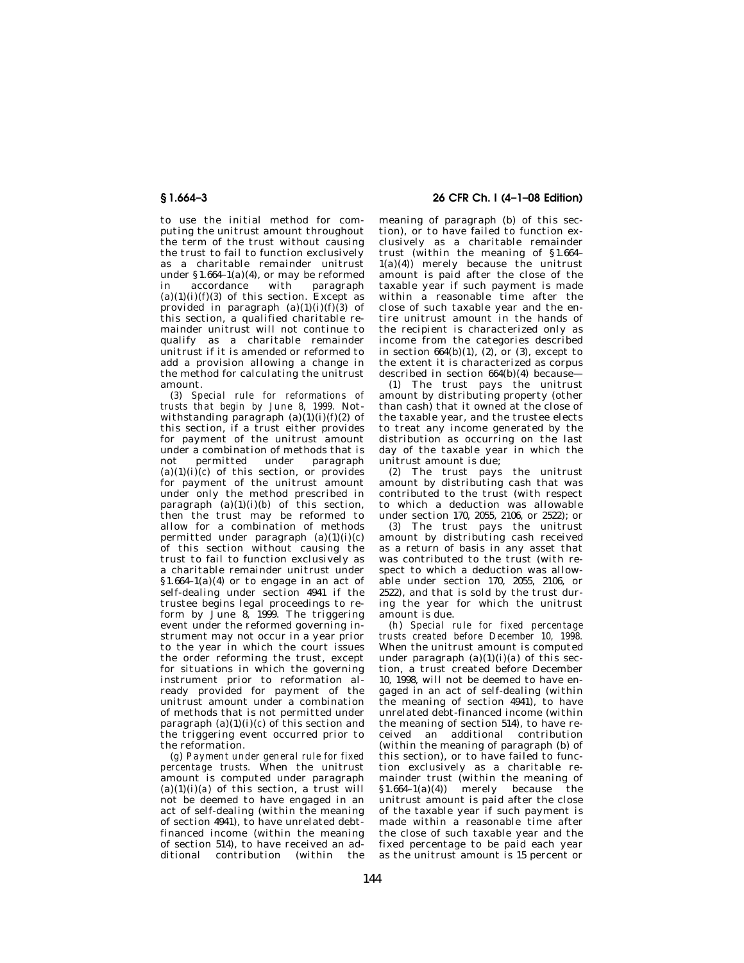to use the initial method for computing the unitrust amount throughout the term of the trust without causing the trust to fail to function exclusively as a charitable remainder unitrust under  $$1.664-1(a)(4)$ , or may be reformed<br>in accordance with paragraph paragraph  $(a)(1)(i)(f)(3)$  of this section. Except as provided in paragraph  $(a)(1)(i)(f)(3)$  of this section, a qualified charitable remainder unitrust will not continue to qualify as a charitable remainder unitrust if it is amended or reformed to add a provision allowing a change in the method for calculating the unitrust amount.

(*3*) *Special rule for reformations of trusts that begin by June 8, 1999.* Notwithstanding paragraph  $(a)(1)(i)(f)(2)$  of this section, if a trust either provides for payment of the unitrust amount under a combination of methods that is not permitted under paragraph  $(a)(1)(i)(c)$  of this section, or provides for payment of the unitrust amount under only the method prescribed in paragraph  $(a)(1)(i)(b)$  of this section. then the trust may be reformed to allow for a combination of methods permitted under paragraph (a)(1)(i)(*c*) of this section without causing the trust to fail to function exclusively as a charitable remainder unitrust under  $§1.664-1(a)(4)$  or to engage in an act of self-dealing under section 4941 if the trustee begins legal proceedings to reform by June  $8, 1999$ . The triggering event under the reformed governing instrument may not occur in a year prior to the year in which the court issues the order reforming the trust, except for situations in which the governing instrument prior to reformation already provided for payment of the unitrust amount under a combination of methods that is not permitted under paragraph  $(a)(1)(i)(c)$  of this section and the triggering event occurred prior to the reformation.

(*g*) *Payment under general rule for fixed percentage trusts.* When the unitrust amount is computed under paragraph  $(a)(1)(i)(a)$  of this section, a trust will not be deemed to have engaged in an act of self-dealing (within the meaning of section 4941), to have unrelated debtfinanced income (within the meaning of section 514), to have received an additional contribution (within the

# **§ 1.664–3 26 CFR Ch. I (4–1–08 Edition)**

meaning of paragraph (b) of this section), or to have failed to function exclusively as a charitable remainder trust (within the meaning of §1.664–  $1(a)(4)$  merely because the unitrust amount is paid after the close of the taxable year if such payment is made within a reasonable time after the close of such taxable year and the entire unitrust amount in the hands of the recipient is characterized only as income from the categories described in section  $664(b)(1)$ ,  $(2)$ , or  $(3)$ , except to the extent it is characterized as corpus described in section  $664(b)(4)$  because—

(*1*) The trust pays the unitrust amount by distributing property (other than cash) that it owned at the close of the taxable year, and the trustee elects to treat any income generated by the distribution as occurring on the last day of the taxable year in which the unitrust amount is due;

(*2*) The trust pays the unitrust amount by distributing cash that was contributed to the trust (with respect to which a deduction was allowable under section 170, 2055, 2106, or 2522); or

(*3*) The trust pays the unitrust amount by distributing cash received as a return of basis in any asset that was contributed to the trust (with respect to which a deduction was allowable under section 170, 2055, 2106, or 2522), and that is sold by the trust during the year for which the unitrust amount is due.

(*h*) *Special rule for fixed percentage trusts created before December 10, 1998.*  When the unitrust amount is computed under paragraph  $(a)(1)(i)(a)$  of this section, a trust created before December 10, 1998, will not be deemed to have engaged in an act of self-dealing (within the meaning of section 4941), to have unrelated debt-financed income (within the meaning of section 514), to have received an additional contribution (within the meaning of paragraph (b) of this section), or to have failed to function exclusively as a charitable remainder trust (within the meaning of  $$1.664-1(a)(4)$  merely because the unitrust amount is paid after the close of the taxable year if such payment is made within a reasonable time after the close of such taxable year and the fixed percentage to be paid each year as the unitrust amount is 15 percent or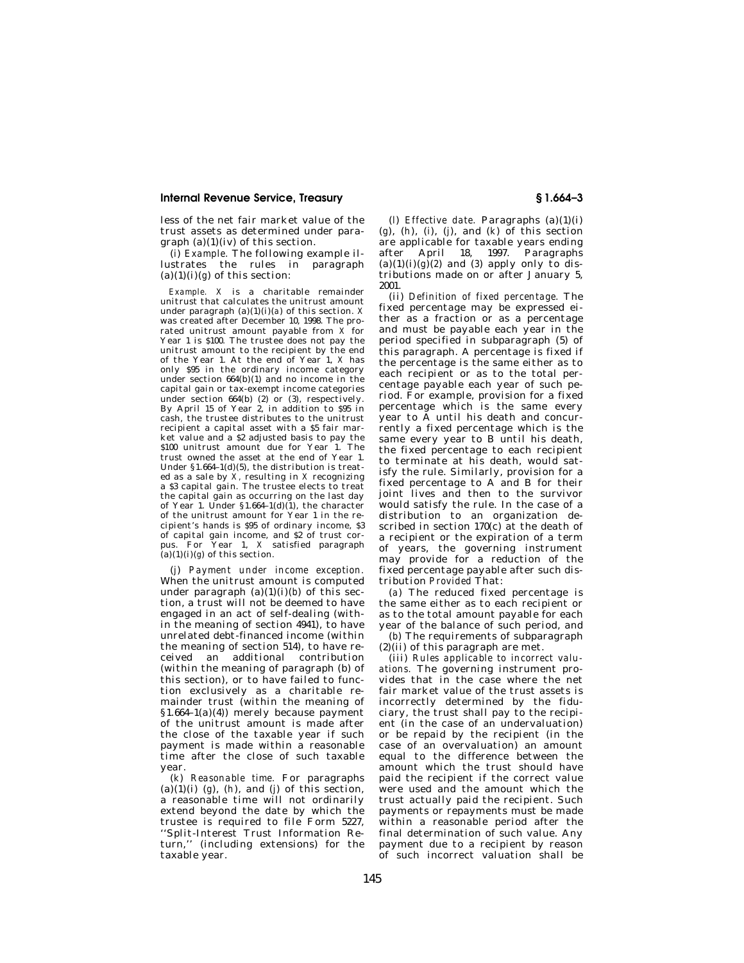less of the net fair market value of the trust assets as determined under paragraph  $(a)(1)(iv)$  of this section.

(*i*) *Example.* The following example illustrates the rules in paragraph  $(a)(1)(i)(g)$  of this section:

*Example. X* is a charitable remainder unitrust that calculates the unitrust amount under paragraph  $(a)(1)(i)(a)$  of this section. *X* was created after December 10, 1998. The prorated unitrust amount payable from  $\overrightarrow{X}$  for Year 1 is \$100. The trustee does not pay the unitrust amount to the recipient by the end of the Year 1. At the end of Year 1, *X* has only \$95 in the ordinary income category under section 664(b)(1) and no income in the capital gain or tax-exempt income categories under section 664(b) (2) or (3), respectively. By April 15 of Year 2, in addition to \$95 in cash, the trustee distributes to the unitrust recipient a capital asset with a \$5 fair market value and a \$2 adjusted basis to pay the \$100 unitrust amount due for Year 1. The trust owned the asset at the end of Year 1. Under §1.664–1(d)(5), the distribution is treated as a sale by *X,* resulting in *X* recognizing a \$3 capital gain. The trustee elects to treat the capital gain as occurring on the last day of Year 1. Under  $$1.664-1(d)(1)$ , the character of the unitrust amount for Year 1 in the recipient's hands is \$95 of ordinary income, \$3 of capital gain income, and \$2 of trust corpus. For Year 1, *X* satisfied paragraph  $(a)(1)(i)(g)$  of this section.

(*j*) *Payment under income exception.*  When the unitrust amount is computed under paragraph (a)(1)(i)(b) of this section, a trust will not be deemed to have engaged in an act of self-dealing (within the meaning of section 4941), to have unrelated debt-financed income (within the meaning of section 514), to have received an additional contribution (within the meaning of paragraph (b) of this section), or to have failed to function exclusively as a charitable remainder trust (within the meaning of §1.664–1(a)(4)) merely because payment of the unitrust amount is made after the close of the taxable year if such payment is made within a reasonable time after the close of such taxable year.

(*k*) *Reasonable time.* For paragraphs (a)(1)(i)  $(g)$ ,  $(h)$ , and  $(j)$  of this section, a reasonable time will not ordinarily extend beyond the date by which the trustee is required to file Form 5227, ''Split-Interest Trust Information Return,'' (including extensions) for the taxable year.

(*l*) *Effective date.* Paragraphs (a)(1)(i) (*g*), (*h*), (*i*), (*j*), and (*k*) of this section are applicable for taxable years ending after April 18, 1997. Paragraphs (a)(1)(i)( $g$ )(2) and (3) apply only to distributions made on or after January 5, 2001.

(ii) *Definition of fixed percentage.* The fixed percentage may be expressed either as a fraction or as a percentage and must be payable each year in the period specified in subparagraph (5) of this paragraph. A percentage is fixed if the percentage is the same either as to each recipient or as to the total percentage payable each year of such period. For example, provision for a fixed percentage which is the same every year to A until his death and concurrently a fixed percentage which is the same every year to B until his death, the fixed percentage to each recipient to terminate at his death, would satisfy the rule. Similarly, provision for a fixed percentage to A and B for their joint lives and then to the survivor would satisfy the rule. In the case of a distribution to an organization described in section  $170(c)$  at the death of a recipient or the expiration of a term of years, the governing instrument may provide for a reduction of the fixed percentage payable after such distribution *Provided* That:

(*a*) The reduced fixed percentage is the same either as to each recipient or as to the total amount payable for each year of the balance of such period, and

(*b*) The requirements of subparagraph (2)(ii) of this paragraph are met.

(iii) *Rules applicable to incorrect valuations.* The governing instrument provides that in the case where the net fair market value of the trust assets is incorrectly determined by the fiduciary, the trust shall pay to the recipient (in the case of an undervaluation) or be repaid by the recipient (in the case of an overvaluation) an amount equal to the difference between the amount which the trust should have paid the recipient if the correct value were used and the amount which the trust actually paid the recipient. Such payments or repayments must be made within a reasonable period after the final determination of such value. Any payment due to a recipient by reason of such incorrect valuation shall be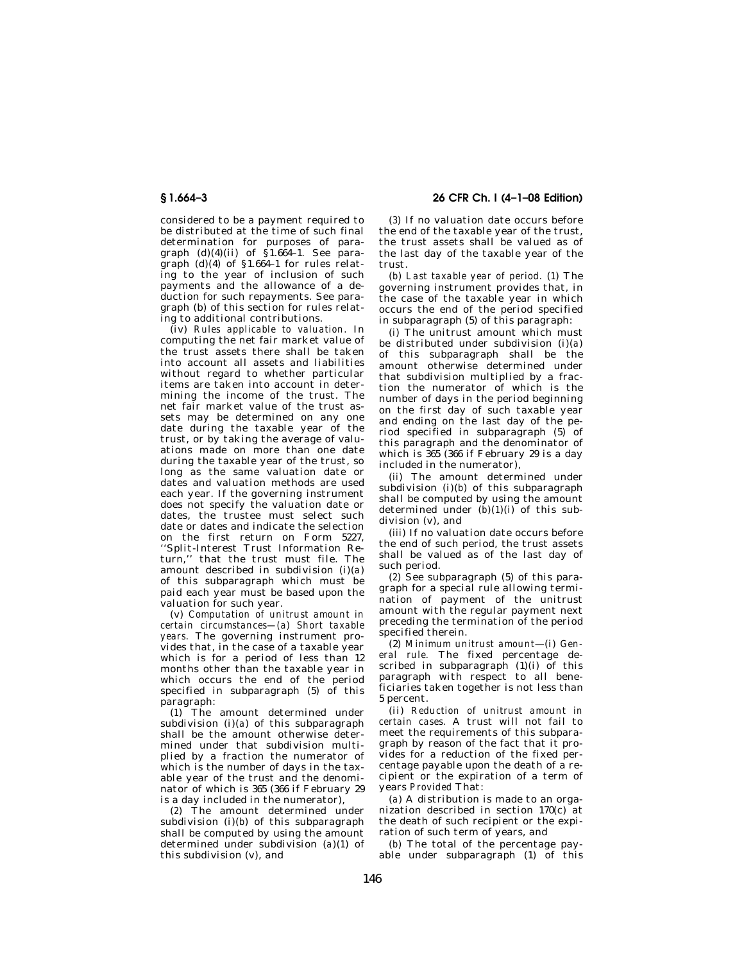considered to be a payment required to be distributed at the time of such final determination for purposes of paragraph  $(d)(4)(ii)$  of  $\hat{§}1.6\hat{6}4-1$ . See paragraph  $(d)(4)$  of §1.664–1 for rules relating to the year of inclusion of such payments and the allowance of a deduction for such repayments. See paragraph (b) of this section for rules relating to additional contributions.

(iv) *Rules applicable to valuation.* In computing the net fair market value of the trust assets there shall be taken into account all assets and liabilities without regard to whether particular items are taken into account in determining the income of the trust. The net fair market value of the trust assets may be determined on any one date during the taxable year of the trust, or by taking the average of valuations made on more than one date during the taxable year of the trust, so long as the same valuation date or dates and valuation methods are used each year. If the governing instrument does not specify the valuation date or dates, the trustee must select such date or dates and indicate the selection on the first return on Form 5227, ''Split-Interest Trust Information Return,'' that the trust must file. The amount described in subdivision (i)(*a*) of this subparagraph which must be paid each year must be based upon the valuation for such year.

(v) *Computation of unitrust amount in certain circumstances—(a) Short taxable years.* The governing instrument provides that, in the case of a taxable year which is for a period of less than 12 months other than the taxable year in which occurs the end of the period specified in subparagraph (5) of this paragraph:

(*1*) The amount determined under subdivision (i)(*a*) of this subparagraph shall be the amount otherwise determined under that subdivision multiplied by a fraction the numerator of which is the number of days in the taxable year of the trust and the denominator of which is 365 (366 if February 29 is a day included in the numerator),

(*2*) The amount determined under subdivision (i)(*b*) of this subparagraph shall be computed by using the amount determined under subdivision (*a*)(*1*) of this subdivision (v), and

**§ 1.664–3 26 CFR Ch. I (4–1–08 Edition)** 

(*3*) If no valuation date occurs before the end of the taxable year of the trust, the trust assets shall be valued as of the last day of the taxable year of the trust.

(*b*) *Last taxable year of period.* (*1*) The governing instrument provides that, in the case of the taxable year in which occurs the end of the period specified in subparagraph (5) of this paragraph:

(*i*) The unitrust amount which must be distributed under subdivision (i)(*a*) of this subparagraph shall be the amount otherwise determined under that subdivision multiplied by a fraction the numerator of which is the number of days in the period beginning on the first day of such taxable year and ending on the last day of the period specified in subparagraph (5) of this paragraph and the denominator of which is 365 (366 if February 29 is a day included in the numerator),

(*ii*) The amount determined under subdivision (i)(*b*) of this subparagraph shall be computed by using the amount determined under  $(b)(1)(i)$  of this subdivision (v), and

(*iii*) If no valuation date occurs before the end of such period, the trust assets shall be valued as of the last day of such period.

(*2*) See subparagraph (5) of this paragraph for a special rule allowing termination of payment of the unitrust amount with the regular payment next preceding the termination of the period specified therein.

(2) *Minimum unitrust amount*—(i) *General rule.* The fixed percentage described in subparagraph (1)(i) of this paragraph with respect to all beneficiaries taken together is not less than 5 percent.

(ii) *Reduction of unitrust amount in certain cases.* A trust will not fail to meet the requirements of this subparagraph by reason of the fact that it provides for a reduction of the fixed percentage payable upon the death of a recipient or the expiration of a term of years *Provided* That:

(*a*) A distribution is made to an organization described in section 170(c) at the death of such recipient or the expiration of such term of years, and

(*b*) The total of the percentage payable under subparagraph (1) of this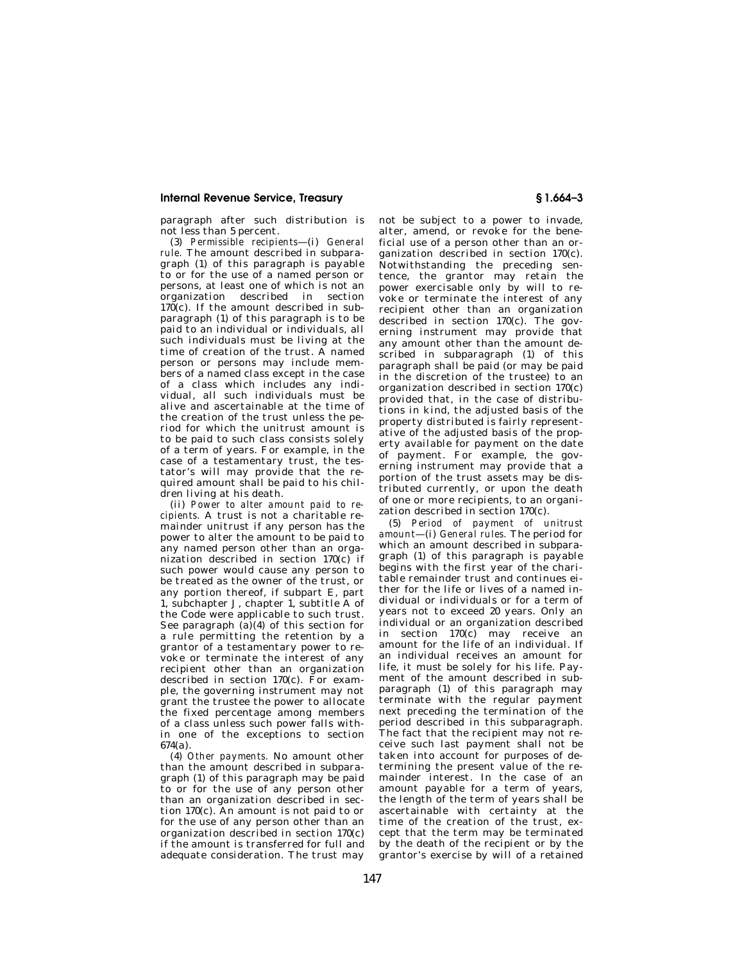paragraph after such distribution is not less than 5 percent.

(3) *Permissible recipients*—(i) *General rule.* The amount described in subparagraph (1) of this paragraph is payable to or for the use of a named person or persons, at least one of which is not an organization described in section  $170(c)$ . If the amount described in subparagraph (1) of this paragraph is to be paid to an individual or individuals, all such individuals must be living at the time of creation of the trust. A named person or persons may include members of a named class except in the case of a class which includes any individual, all such individuals must be alive and ascertainable at the time of the creation of the trust unless the period for which the unitrust amount is to be paid to such class consists solely of a term of years. For example, in the case of a testamentary trust, the testator's will may provide that the required amount shall be paid to his children living at his death.

(ii) *Power to alter amount paid to recipients.* A trust is not a charitable remainder unitrust if any person has the power to alter the amount to be paid to any named person other than an organization described in section 170(c) if such power would cause any person to be treated as the owner of the trust, or any portion thereof, if subpart E, part 1, subchapter J, chapter 1, subtitle A of the Code were applicable to such trust. See paragraph  $(a)(4)$  of this section for a rule permitting the retention by a grantor of a testamentary power to revoke or terminate the interest of any recipient other than an organization described in section  $170(c)$ . For example, the governing instrument may not grant the trustee the power to allocate the fixed percentage among members of a class unless such power falls within one of the exceptions to section 674(a).

(4) *Other payments.* No amount other than the amount described in subparagraph (1) of this paragraph may be paid to or for the use of any person other than an organization described in section 170(c). An amount is not paid to or for the use of any person other than an organization described in section 170(c) if the amount is transferred for full and adequate consideration. The trust may

not be subject to a power to invade, alter, amend, or revoke for the beneficial use of a person other than an organization described in section 170(c). Notwithstanding the preceding sentence, the grantor may retain the power exercisable only by will to revoke or terminate the interest of any recipient other than an organization described in section 170(c). The governing instrument may provide that any amount other than the amount described in subparagraph (1) of this paragraph shall be paid (or may be paid in the discretion of the trustee) to an organization described in section 170(c) provided that, in the case of distributions in kind, the adjusted basis of the property distributed is fairly representative of the adjusted basis of the property available for payment on the date of payment. For example, the governing instrument may provide that a portion of the trust assets may be distributed currently, or upon the death of one or more recipients, to an organization described in section 170(c).

(5) *Period of payment of unitrust amount*—(i) *General rules.* The period for which an amount described in subparagraph (1) of this paragraph is payable begins with the first year of the charitable remainder trust and continues either for the life or lives of a named individual or individuals or for a term of years not to exceed 20 years. Only an individual or an organization described in section 170(c) may receive an amount for the life of an individual. If an individual receives an amount for life, it must be solely for his life. Payment of the amount described in subparagraph (1) of this paragraph may terminate with the regular payment next preceding the termination of the period described in this subparagraph. The fact that the recipient may not receive such last payment shall not be taken into account for purposes of determining the present value of the remainder interest. In the case of an amount payable for a term of years, the length of the term of years shall be ascertainable with certainty at the time of the creation of the trust, except that the term may be terminated by the death of the recipient or by the grantor's exercise by will of a retained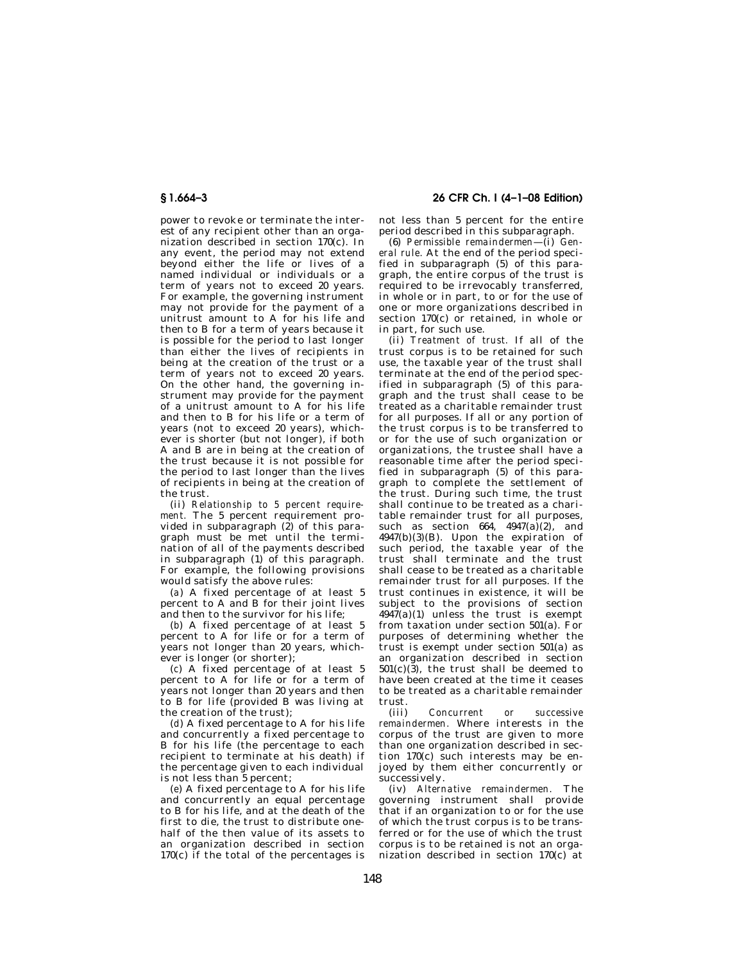power to revoke or terminate the interest of any recipient other than an organization described in section 170(c). In any event, the period may not extend beyond either the life or lives of a named individual or individuals or a term of years not to exceed 20 years. For example, the governing instrument may not provide for the payment of a unitrust amount to A for his life and then to B for a term of years because it is possible for the period to last longer than either the lives of recipients in being at the creation of the trust or a term of years not to exceed 20 years. On the other hand, the governing instrument may provide for the payment of a unitrust amount to A for his life and then to B for his life or a term of years (not to exceed 20 years), whichever is shorter (but not longer), if both A and B are in being at the creation of the trust because it is not possible for the period to last longer than the lives of recipients in being at the creation of the trust.

(ii) *Relationship to 5 percent requirement.* The 5 percent requirement provided in subparagraph  $(2)$  of this paragraph must be met until the termination of all of the payments described in subparagraph  $(1)$  of this paragraph. For example, the following provisions would satisfy the above rules:

(*a*) A fixed percentage of at least 5 percent to A and B for their joint lives and then to the survivor for his life;

(*b*) A fixed percentage of at least 5 percent to A for life or for a term of years not longer than 20 years, whichever is longer (or shorter);

(*c*) A fixed percentage of at least 5 percent to A for life or for a term of years not longer than 20 years and then to B for life (provided B was living at the creation of the trust);

(*d*) A fixed percentage to A for his life and concurrently a fixed percentage to B for his life (the percentage to each recipient to terminate at his death) if the percentage given to each individual is not less than 5 percent;

(*e*) A fixed percentage to A for his life and concurrently an equal percentage to B for his life, and at the death of the first to die, the trust to distribute onehalf of the then value of its assets to an organization described in section 170(c) if the total of the percentages is

**§ 1.664–3 26 CFR Ch. I (4–1–08 Edition)** 

not less than 5 percent for the entire period described in this subparagraph.

(6) *Permissible remaindermen*—(i) *General rule.* At the end of the period specified in subparagraph  $(5)$  of this paragraph, the entire corpus of the trust is required to be irrevocably transferred, in whole or in part, to or for the use of one or more organizations described in section 170(c) or retained, in whole or in part, for such use.

(ii) *Treatment of trust.* If all of the trust corpus is to be retained for such use, the taxable year of the trust shall terminate at the end of the period specified in subparagraph (5) of this paragraph and the trust shall cease to be treated as a charitable remainder trust for all purposes. If all or any portion of the trust corpus is to be transferred to or for the use of such organization or organizations, the trustee shall have a reasonable time after the period specified in subparagraph  $(5)$  of this paragraph to complete the settlement of the trust. During such time, the trust shall continue to be treated as a charitable remainder trust for all purposes, such as section 664,  $4947(a)(2)$ , and 4947(b)(3)(B). Upon the expiration of such period, the taxable year of the trust shall terminate and the trust shall cease to be treated as a charitable remainder trust for all purposes. If the trust continues in existence, it will be subject to the provisions of section  $4947(a)(1)$  unless the trust is exempt from taxation under section 501(a). For purposes of determining whether the trust is exempt under section 501(a) as an organization described in section  $501(c)(3)$ , the trust shall be deemed to have been created at the time it ceases to be treated as a charitable remainder trust.

(iii) *Concurrent or successive remaindermen.* Where interests in the corpus of the trust are given to more than one organization described in section 170(c) such interests may be enjoyed by them either concurrently or successively.

(iv) *Alternative remaindermen.* The governing instrument shall provide that if an organization to or for the use of which the trust corpus is to be transferred or for the use of which the trust corpus is to be retained is not an organization described in section 170(c) at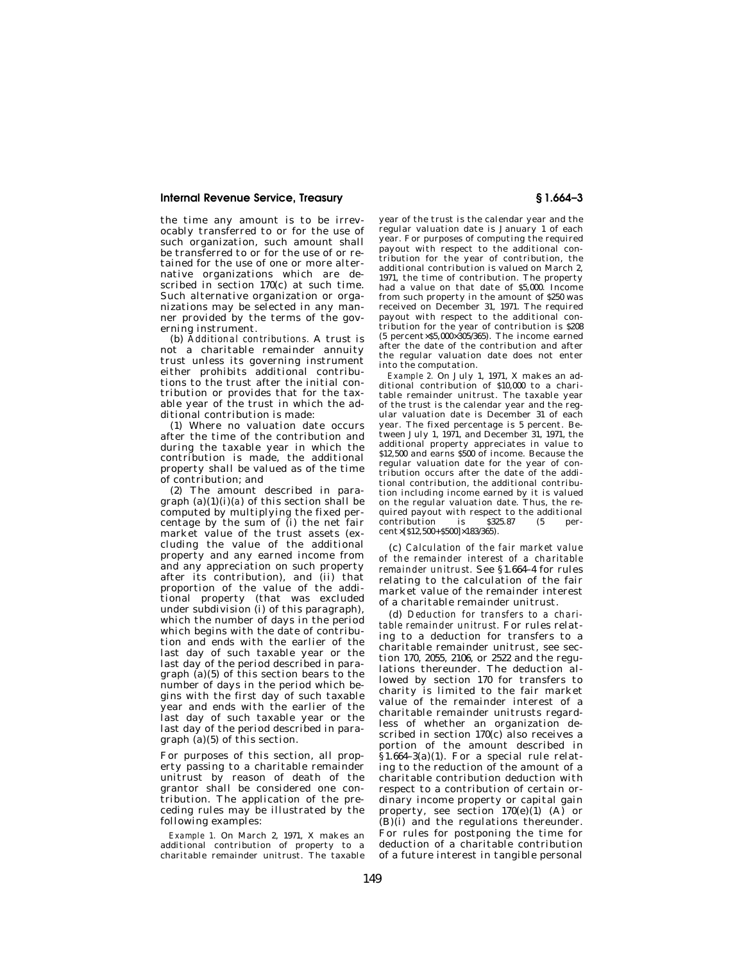the time any amount is to be irrevocably transferred to or for the use of such organization, such amount shall be transferred to or for the use of or retained for the use of one or more alternative organizations which are described in section 170(c) at such time. Such alternative organization or organizations may be selected in any manner provided by the terms of the governing instrument.

(b) *Additional contributions.* A trust is not a charitable remainder annuity trust unless its governing instrument either prohibits additional contributions to the trust after the initial contribution or provides that for the taxable year of the trust in which the additional contribution is made:

(1) Where no valuation date occurs after the time of the contribution and during the taxable year in which the contribution is made, the additional property shall be valued as of the time of contribution; and

(2) The amount described in paragraph  $(a)(1)(i)(a)$  of this section shall be computed by multiplying the fixed percentage by the sum of (i) the net fair market value of the trust assets (excluding the value of the additional property and any earned income from and any appreciation on such property after its contribution), and (ii) that proportion of the value of the additional property (that was excluded under subdivision (i) of this paragraph), which the number of days in the period which begins with the date of contribution and ends with the earlier of the last day of such taxable year or the last day of the period described in paragraph  $(a)(5)$  of this section bears to the number of days in the period which begins with the first day of such taxable year and ends with the earlier of the last day of such taxable year or the last day of the period described in paragraph (a)(5) of this section.

For purposes of this section, all property passing to a charitable remainder unitrust by reason of death of the grantor shall be considered one contribution. The application of the preceding rules may be illustrated by the following examples:

*Example 1.* On March 2, 1971, X makes an additional contribution of property to a charitable remainder unitrust. The taxable

year of the trust is the calendar year and the regular valuation date is January 1 of each year. For purposes of computing the required payout with respect to the additional contribution for the year of contribution, the additional contribution is valued on March 2, 1971, the time of contribution. The property had a value on that date of \$5,000. Income from such property in the amount of \$250 was received on December 31, 1971. The required payout with respect to the additional contribution for the year of contribution is \$208 (5 percent×\$5,000×305/365). The income earned after the date of the contribution and after the regular valuation date does not enter into the computation.

*Example 2.* On July 1, 1971, X makes an additional contribution of \$10,000 to a charitable remainder unitrust. The taxable year of the trust is the calendar year and the regular valuation date is December 31 of each year. The fixed percentage is 5 percent. Between July 1, 1971, and December 31, 1971, the additional property appreciates in value to \$12,500 and earns \$500 of income. Because the regular valuation date for the year of contribution occurs after the date of the additional contribution, the additional contribution including income earned by it is valued on the regular valuation date. Thus, the required payout with respect to the additional contribution is \$325.87 (5 percent×[\$12,500+\$500]×183/365).

(c) *Calculation of the fair market value of the remainder interest of a charitable remainder unitrust.* See §1.664–4 for rules relating to the calculation of the fair market value of the remainder interest of a charitable remainder unitrust.

(d) *Deduction for transfers to a charitable remainder unitrust.* For rules relating to a deduction for transfers to a charitable remainder unitrust, see section 170, 2055, 2106, or 2522 and the regulations thereunder. The deduction allowed by section 170 for transfers to charity is limited to the fair market value of the remainder interest of a charitable remainder unitrusts regardless of whether an organization described in section 170(c) also receives a portion of the amount described in  $§1.664-3(a)(1)$ . For a special rule relating to the reduction of the amount of a charitable contribution deduction with respect to a contribution of certain ordinary income property or capital gain property, see section  $170(e)(1)$  (A) or (B)(i) and the regulations thereunder. For rules for postponing the time for deduction of a charitable contribution of a future interest in tangible personal